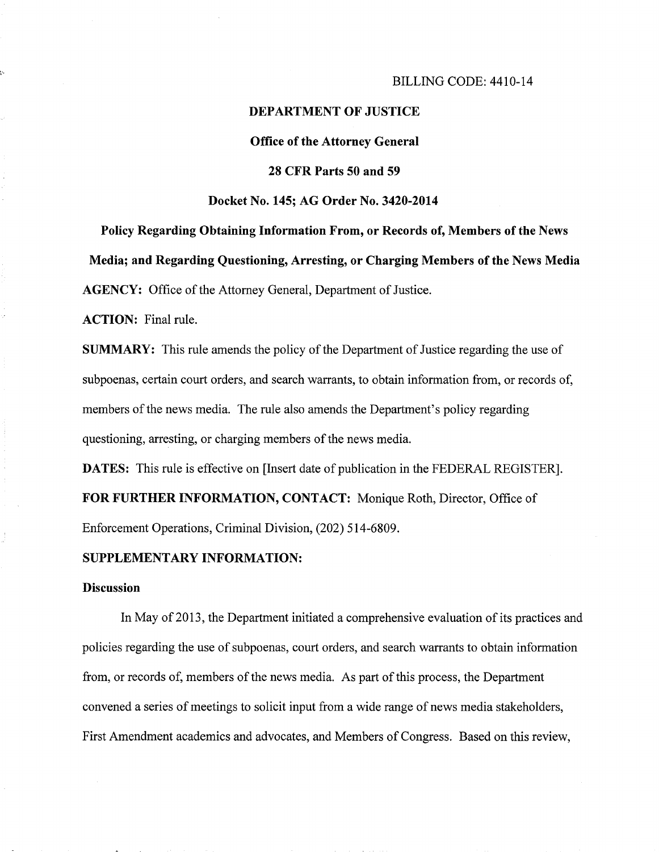#### BILLING CODE: 4410-14

#### DEPARTMENT OF JUSTICE

#### Office of the Attorney General

### 28 CFR Parts 50 and 59

#### Docket No. 145; AG Order No. 3420-2014

Policy Regarding Obtaining Information From, or Records of, Members of the News Media; and Regarding Questioning, Arresting, or Charging Members of the News Media AGENCY: Office of the Attorney General, Department of Justice.

ACTION: Final rule.

SUMMARY: This rule amends the policy of the Department of Justice regarding the use of subpoenas, certain court orders, and search warrants, to obtain information from, or records of, members of the news media. The rule also amends the Department's policy regarding questioning, arresting, or charging members of the news media.

DATES: This rule is effective on [Insert date of publication in the FEDERAL REGISTER]. FOR FURTHER INFORMATION, CONTACT: Monique Roth, Director, Office of Enforcement Operations, Criminal Division, (202) 514-6809.

### SUPPLEMENTARY INFORMATION:

#### **Discussion**

In May of 2013, the Department initiated a comprehensive evaluation of its practices and policies regarding the use of subpoenas, court orders, and search warrants to obtain information from, or records of, members of the news media. As part of this process, the Department convened a series of meetings to solicit input from a wide range of news media stakeholders, First Amendment academics and advocates, and Members of Congress. Based on this review,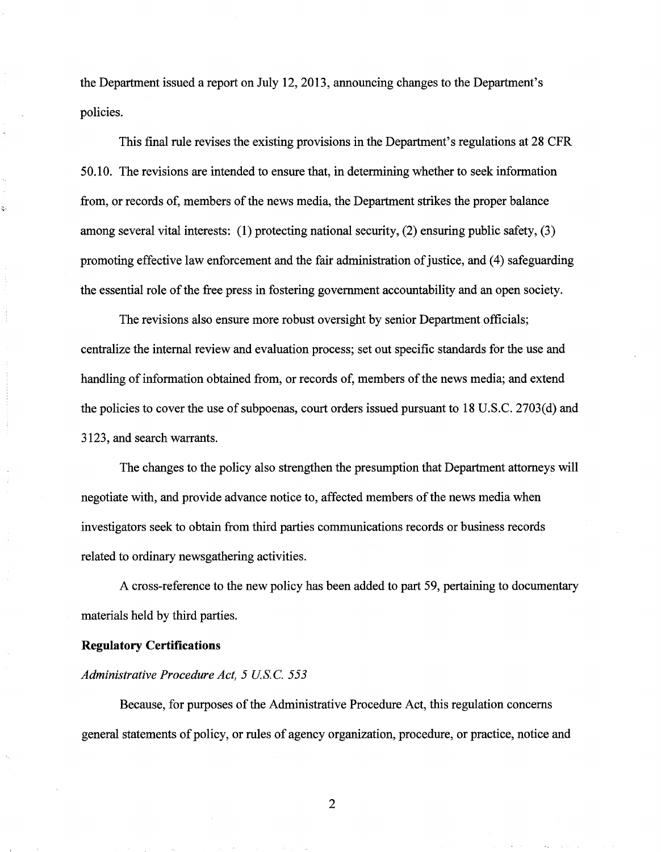the Department issued a report on July 12, 2013, announcing changes to the Department's policies.

This final rule revises the existing provisions in the Department's regulations at 28 CFR 50.10. The revisions are intended to ensure that, in determining whether to seek information from, or records of, members of the news media, the Department strikes the proper balance among several vital interests: (1) protecting national security, (2) ensuring public safety, (3) promoting effective law enforcement and the fair administration of justice, and (4) safeguarding the essential role of the free press in fostering government accountability and an open society.

The revisions also ensure more robust oversight by senior Department officials; centralize the internal review and evaluation process; set out specific standards for the use and handling of information obtained from, or records of, members of the news media; and extend the policies to cover the use of subpoenas, court orders issued pursuant to 18 U.S.C. 2703(d) and 3123, and search warrants.

The changes to the policy also strengthen the presumption that Department attorneys will negotiate with, and provide advance notice to, affected members of the news media when investigators seek to obtain from third parties communications records or business records related to ordinary newsgathering activities.

A cross-reference to the new policy has been added to part 59, pertaining to documentary materials held by third parties.

#### **Regulatory Certifications**

#### *Administrative Procedure Act, 5 US.* C. *553*

Because, for purposes of the Administrative Procedure Act, this regulation concerns general statements of policy, or rules of agency organization, procedure, or practice, notice and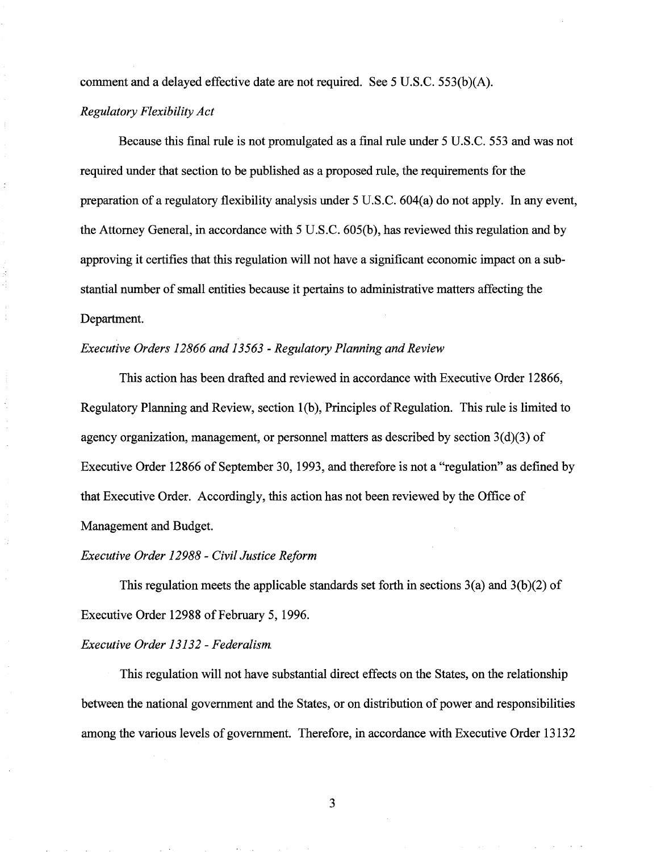comment and a delayed effective date are not required. See 5 U.S.C.  $553(b)(A)$ .

## *Regulatory Flexibility Act*

Because this final rule is not promulgated as a final rule under 5 U.S.C. 553 and was not required under that section to be published as a proposed rule, the requirements for the preparation of a regulatory flexibility analysis under 5 U.S.C. 604(a) do not apply. In any event, the Attorney General, in accordance with 5 U.S.C. 605(b), has reviewed this regulation and by approving it certifies that this regulation will not have a significant economic impact on a substantial number of small entities because it pertains to administrative matters affecting the Department.

## *Executive Orders 12866 and 13563 -Regulatory Planning and Review*

This action has been drafted and reviewed in accordance with Executive Order 12866, Regulatory Planning and Review, section 1(b), Principles of Regulation. This rule is limited to agency organization, management, or personnel matters as described by section  $3(d)(3)$  of Executive Order 12866 of September 30, 1993, and therefore is not a "regulation" as defined by that Executive Order. Accordingly, this action has not been reviewed by the Office of Management and Budget.

## *Executive Order 12988* - *Civil Justice Reform*

This regulation meets the applicable standards set forth in sections  $3(a)$  and  $3(b)(2)$  of Executive Order 12988 of February 5, 1996.

## *Executive Order 13132- Federalism.*

This regulation will not have substantial direct effects on the States, on the relationship between the national government and the States, or on distribution of power and responsibilities among the various levels of government. Therefore, in accordance with Executive Order 13132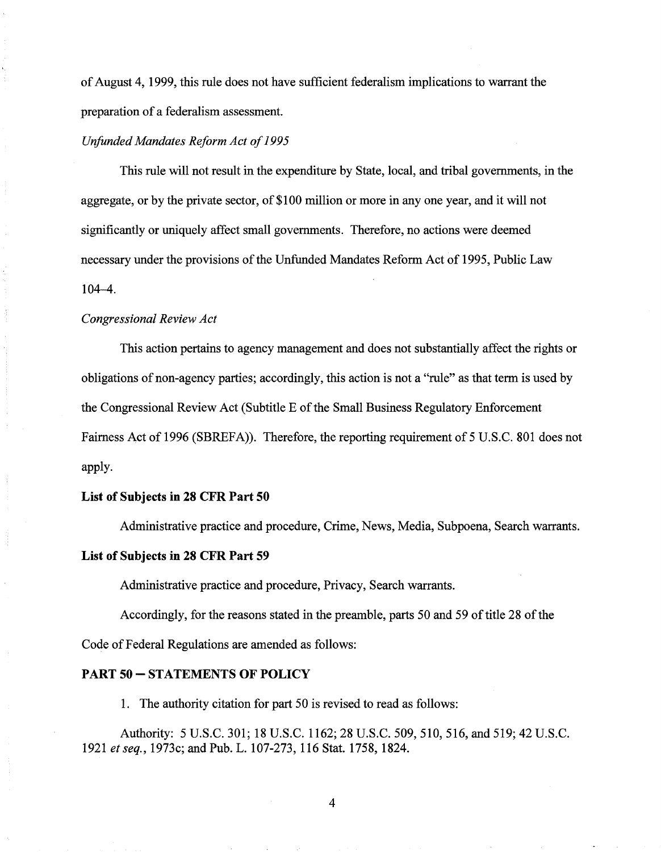of August 4, 1999, this rule does not have sufficient federalism implications to warrant the preparation of a federalism assessment.

### *Unfunded Mandates Reform Act of 1995*

This rule will not result in the expenditure by State, local, and tribal governments, in the aggregate, or by the private sector, of \$100 million or more in any one year, and it will not significantly or uniquely affect small governments. Therefore, no actions were deemed necessary under the provisions of the Unfunded Mandates Reform Act of 1995, Public Law 104-4.

### *Congressional Review Act*

This action pertains to agency management and does not substantially affect the rights or obligations of non-agency parties; accordingly, this action is not a "rule" as that term is used by the Congressional Review Act (Subtitle E of the Small Business Regulatory Enforcement Fairness Act of 1996 (SBREFA)). Therefore, the reporting requirement of 5 U.S.C. 801 does not apply.

## **List of Subjects in 28 CFR Part 50**

Administrative practice and procedure, Crime, News, Media, Subpoena, Search warrants.

## **List of Subjects in 28 CFR Part 59**

Administrative practice and procedure, Privacy, Search warrants.

Accordingly, for the reasons stated in the preamble, parts 50 and 59 of title 28 of the Code of Federal Regulations are amended as follows:

#### **PART 50- STATEMENTS OF POLICY**

1. The authority citation for part 50 is revised to read as follows:

Authority: 5 U.S.C. 301; 18 U.S.C. 1162; 28 U.S.C. 509, 510, 516, and 519; 42 U.S.C. 1921 *et seq.,* 1973c; and Pub. L. 107-273, 116 Stat. 1758, 1824.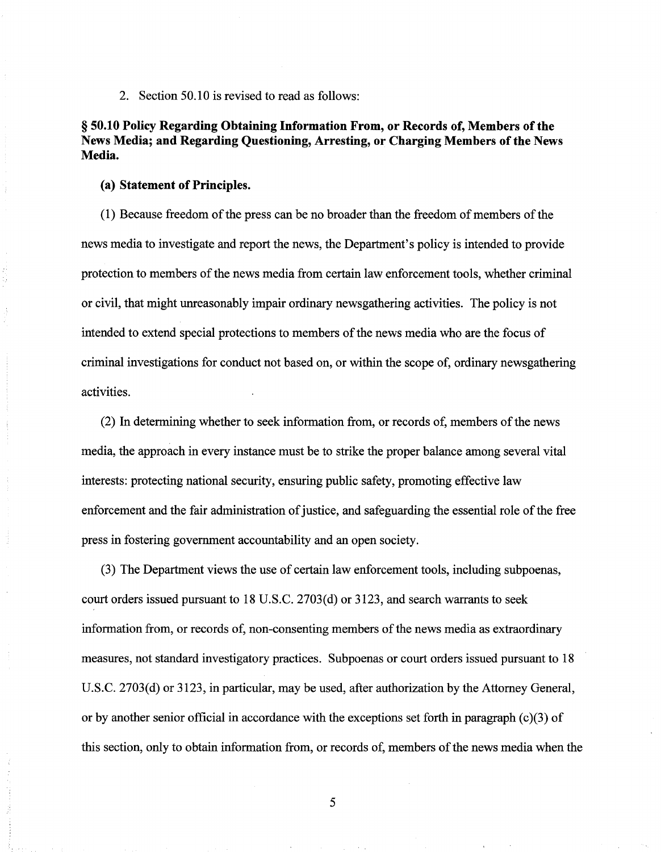2. Section 50.10 is revised to read as follows:

# § 50.10 Policy Regarding Obtaining Information From, or Records of, Members of the News Media; and Regarding Questioning, Arresting, or Charging Members of the News Media.

#### (a) Statement of Principles.

(1) Because freedom of the press can be no broader than the freedom of members ofthe news media to investigate and report the news, the Department's policy is intended to provide protection to members of the news media from certain law enforcement tools, whether criminal or civil, that might unreasonably impair ordinary newsgathering activities. The policy is not intended to extend special protections to members of the news media who are the focus of criminal investigations for conduct not based on, or within the scope of, ordinary newsgathering activities.

(2) In determining whether to seek information from, or records of, members of the news media, the approach in every instance must be to strike the proper balance among several vital interests: protecting national security, ensuring public safety, promoting effective law enforcement and the fair administration of justice, and safeguarding the essential role ofthe free press in fostering government accountability and an open society.

(3) The Department views the use of certain law enforcement tools, including subpoenas, court orders issued pursuant to 18 U.S.C. 2703(d) or 3123, and search warrants to seek information from, or records of, non-consenting members of the news media as extraordinary measures, not standard investigatory practices. Subpoenas or court orders issued pursuant to 18 U.S.C. 2703(d) or 3123, in particular, may be used, after authorization by the Attorney General, or by another senior official in accordance with the exceptions set forth in paragraph  $(c)(3)$  of this section, only to obtain information from, or records of, members of the news media when the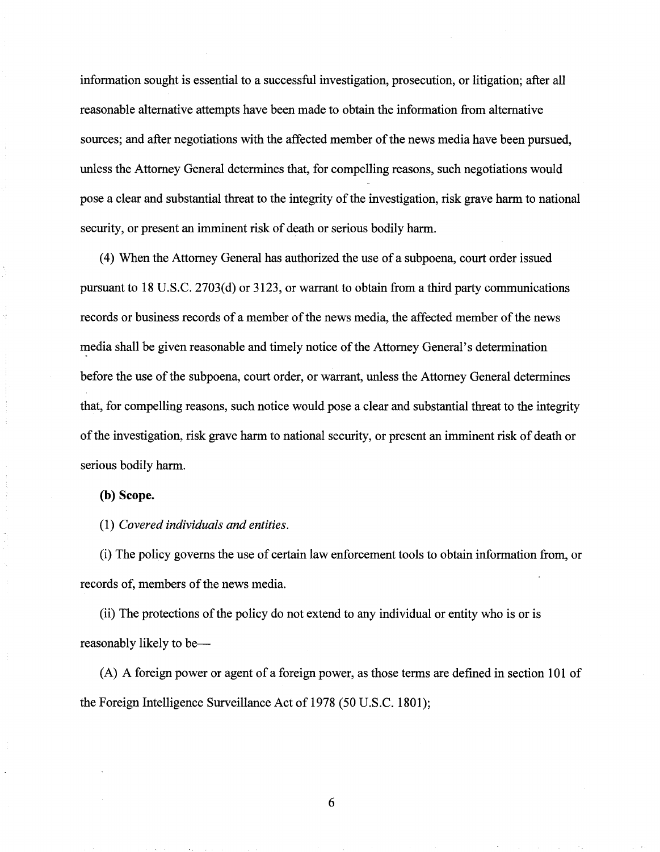information sought is essential to a successful investigation, prosecution, or litigation; after all reasonable alternative attempts have been made to obtain the information from alternative sources; and after negotiations with the affected member of the news media have been pursued, unless the Attorney General determines that, for compelling reasons, such negotiations would pose a clear and substantial threat to the integrity of the investigation, risk grave harm to national security, or present an imminent risk of death or serious bodily harm.

( 4) When the Attorney General has authorized the use of a subpoena, court order issued pursuant to 18 U.S.C. 2703(d) or 3123, or warrant to obtain from a third party communications records or business records of a member of the news media, the affected member of the news media shall be given reasonable and timely notice of the Attorney General's determination before the use of the subpoena, court order, or warrant, unless the Attorney General determines that, for compelling reasons, such notice would pose a clear and substantial threat to the integrity of the investigation, risk grave harm to national security, or present an imminent risk of death or serious bodily harm.

## **(b) Scope.**

(1) *Covered individuals and entities.* 

(i) The policy governs the use of certain law enforcement tools to obtain information from, or records of, members of the news media.

(ii) The protections of the policy do not extend to any individual or entity who is or is reasonably likely to be—

(A) A foreign power or agent of a foreign power, as those terms are defined in section 101 of the Foreign Intelligence Surveillance Act of 1978 (50 U.S.C. 1801);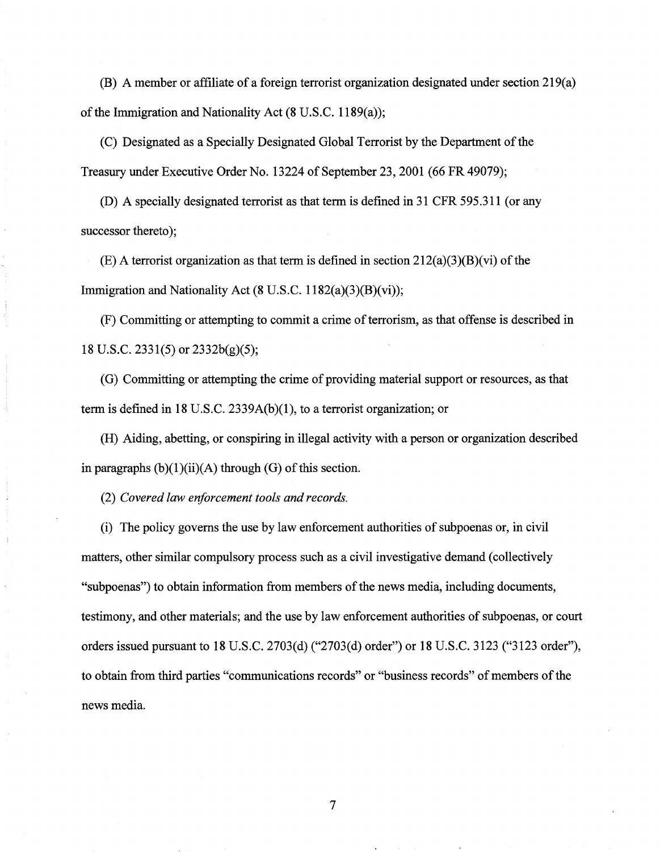(B) A member or affiliate of a foreign terrorist organization designated under section 219(a) of the Immigration and Nationality Act (8 U.S.C. 1189(a));

(C) Designated as a Specially Designated Global Terrorist by the Department of the Treasury under Executive Order No. 13224 of September 23,2001 (66 FR 49079);

(D) A specially designated terrorist as that term is defined in 31 CFR 595.311 (or any successor thereto);

(E) A terrorist organization as that term is defined in section 212(a)(3)(B)(vi) of the Immigration and Nationality Act (8 U.S.C. 1182(a)(3)(B)(vi));

(F) Committing or attempting to commit a crime of terrorism, as that offense is described in 18 U.S.C. 2331(5) or 2332b(g)(5);

(G) Committing or attempting the crime of providing material support or resources, as that term is defined in 18 U.S.C. 2339A(b)(1), to a terrorist organization; or

(H) Aiding, abetting, or conspiring in illegal activity with a person or organization described in paragraphs  $(b)(1)(ii)(A)$  through  $(G)$  of this section.

(2) *Covered law enforcement tools and records.* 

(i) The policy governs the use by law enforcement authorities of subpoenas or, in civil matters, other similar compulsory process such as a civil investigative demand (collectively "subpoenas") to obtain information from members of the news media, including documents, testimony, and other materials; and the use by law enforcement authorities of subpoenas, or court orders issued pursuant to 18 U.S.C. 2703(d) ("2703(d) order") or 18 U.S.C. 3123 ("3123 order"), to obtain from third parties "communications records" or "business records" of members of the news media.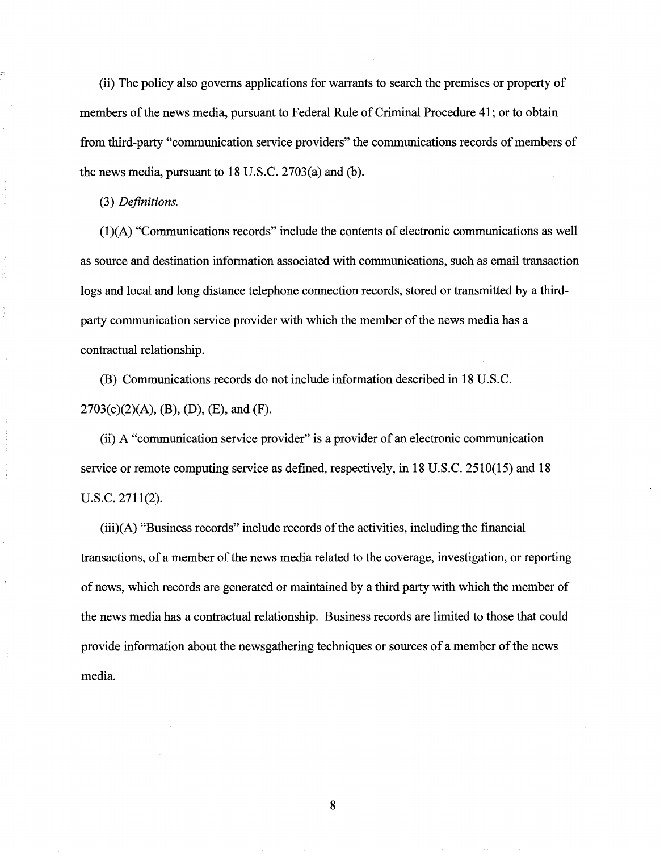(ii) The policy also governs applications for warrants to search the premises or property of members of the news media, pursuant to Federal Rule of Criminal Procedure 41; or to obtain from third-party "communication service providers" the communications records of members of the news media, pursuant to 18 U.S.C. 2703(a) and (b).

#### (3) *Definitions.*

(1 )(A) "Communications records" include the contents of electronic communications as well as source and destination information associated with communications, such as email transaction logs and local and long distance telephone connection records, stored or transmitted by a thirdparty communication service provider with which the member of the news media has a contractual relationship.

(B) Communications records do not include information described in 18 U.S.C.  $2703(c)(2)(A), (B), (D), (E), and (F).$ 

(ii) A "communication service provider" is a provider of an electronic communication service or remote computing service as defined, respectively, in 18 U.S.C. 2510(15) and 18 u.s.c. 2711(2).

 $(iii)(A)$  "Business records" include records of the activities, including the financial transactions, of a member of the news media related to the coverage, investigation, or reporting of news, which records are generated or maintained by a third party with which the member of the news media has a contractual relationship. Business records are limited to those that could provide information about the newsgathering techniques or sources of a member of the news media.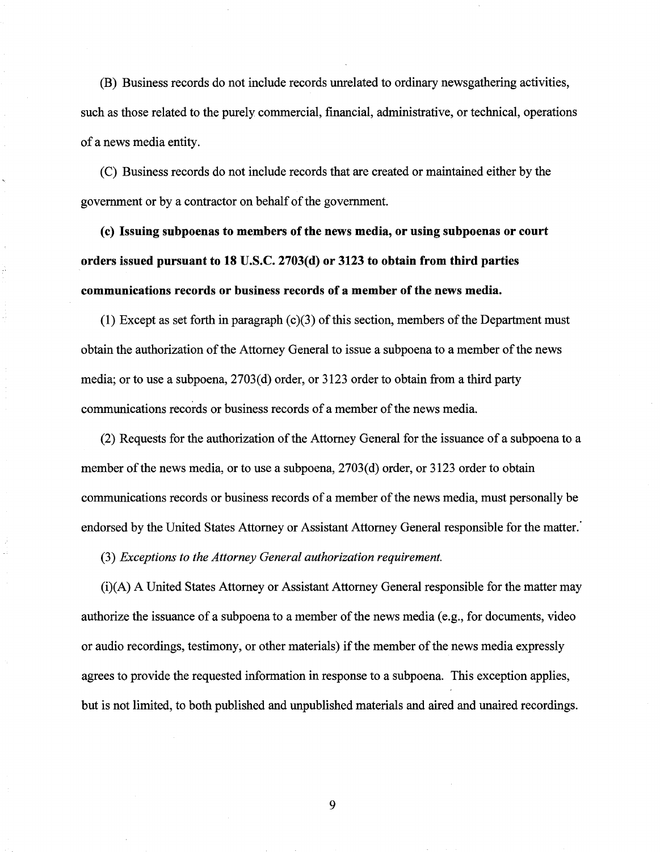(B) Business records do not include records unrelated to ordinary newsgathering activities, such as those related to the purely commercial, financial, administrative, or technical, operations of a news media entity.

(C) Business records do not include records that are created or maintained either by the government or by a contractor on behalf of the government.

**(c) Issuing subpoenas to members of the news media, or using subpoenas or court orders issued pursuant to 18 U.S.C. 2703(d) or 3123 to obtain from third parties communications records or business records of a member of the news media.** 

**(1)** Except as set forth in paragraph (c)(3) of this section, members ofthe Department must obtain the authorization of the Attorney General to issue a subpoena to a member of the news media; or to use a subpoena, 2703(d) order, or 3123 order to obtain from a third party communications records or business records of a member of the news media.

(2) Requests for the authorization of the Attorney General for the issuance of a subpoena to a member of the news media, or to use a subpoena, 2703(d) order, or 3123 order to obtain communications records or business records of a member of the news media, must personally be endorsed by the United States Attorney or Assistant Attorney General responsible for the matter.'

(3) *Exceptions to the Attorney General authorization requirement.* 

(i)(A) A United States Attorney or Assistant Attorney General responsible for the matter may authorize the issuance of a subpoena to a member of the news media (e.g., for documents, video or audio recordings, testimony, or other materials) if the member of the news media expressly agrees to provide the requested information in response to a subpoena. This exception applies, but is not limited, to both published and unpublished materials and aired and unaired recordings.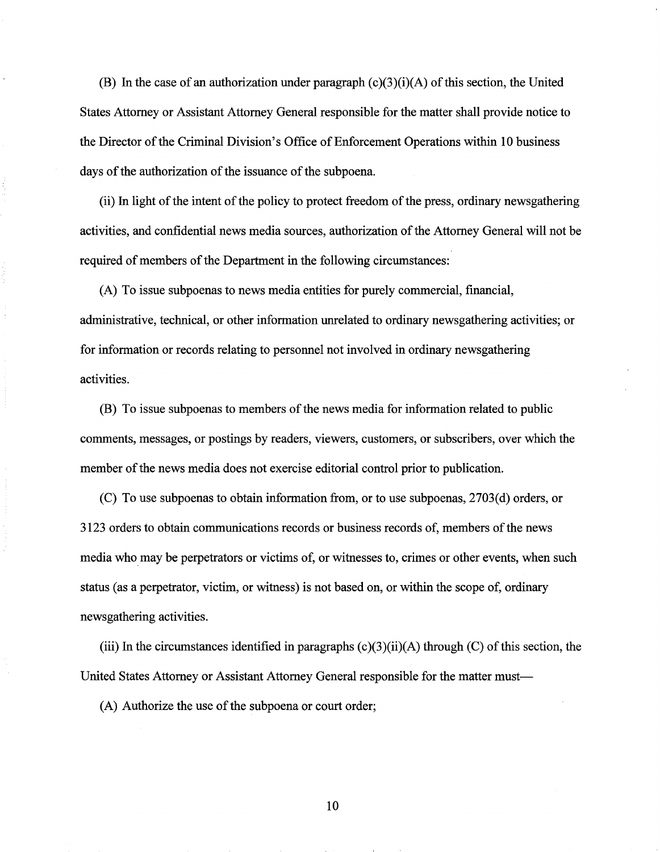(B) In the case of an authorization under paragraph  $(c)(3)(i)(A)$  of this section, the United States Attorney or Assistant Attorney General responsible for the matter shall provide notice to the Director of the Criminal Division's Office of Enforcement Operations within 10 business days of the authorization of the issuance of the subpoena.

(ii) In light of the intent of the policy to protect freedom of the press, ordinary newsgathering activities, and confidential news media sources, authorization of the Attorney General will not be required of members of the Department in the following circumstances:

(A) To issue subpoenas to news media entities for purely commercial, financial, administrative, technical, or other information unrelated to ordinary newsgathering activities; or for information or records relating to personnel not involved in ordinary newsgathering activities.

(B) To issue subpoenas to members of the news media for information related to public comments, messages, or postings by readers, viewers, customers, or subscribers, over which the member of the news media does not exercise editorial control prior to publication.

(C) To use subpoenas to obtain information from, or to use subpoenas, 2703(d) orders, or 3123 orders to obtain communications records or business records of, members ofthe news media who may be perpetrators or victims of, or witnesses to, crimes or other events, when such status (as a perpetrator, victim, or witness) is not based on, or within the scope of, ordinary newsgathering activities.

(iii) In the circumstances identified in paragraphs  $(c)(3)(ii)(A)$  through  $(C)$  of this section, the United States Attorney or Assistant Attorney General responsible for the matter must-

(A) Authorize the use of the subpoena or court order;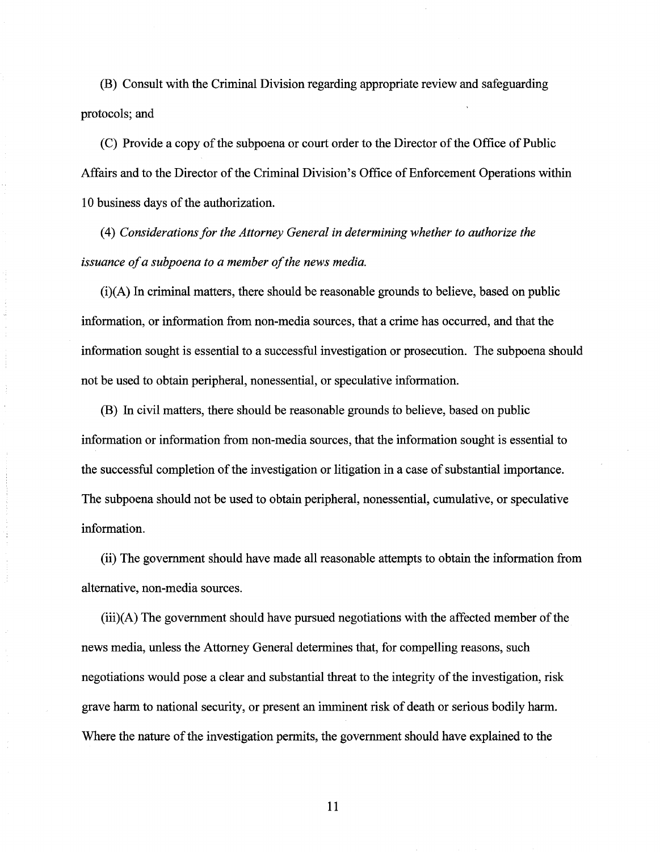(B) Consult with the Criminal Division regarding appropriate review and safeguarding protocols; and

(C) Provide a copy of the subpoena or court order to the Director of the Office of Public Affairs and to the Director of the Criminal Division's Office of Enforcement Operations within 1 0 business days of the authorization.

( 4) *Considerations for the Attorney General in determining whether to authorize the issuance of a subpoena to a member of the news media.* 

(i)(A) In criminal matters, there should be reasonable grounds to believe, based on public information, or information from non-media sources, that a crime has occurred, and that the information sought is essential to a successful investigation or prosecution. The subpoena should not be used to obtain peripheral, nonessential, or speculative information.

(B) In civil matters, there should be reasonable grounds to believe, based on public information or information from non-media sources, that the information sought is essential to the successful completion of the investigation or litigation in a case of substantial importance. The subpoena should not be used to obtain peripheral, nonessential, cumulative, or speculative information.

(ii) The government should have made all reasonable attempts to obtain the information from alternative, non-media sources.

(iii)(A) The government should have pursued negotiations with the affected member of the news media, unless the Attorney General determines that, for compelling reasons, such negotiations would pose a clear and substantial threat to the integrity of the investigation, risk grave harm to national security, or present an imminent risk of death or serious bodily harm. Where the nature of the investigation permits, the government should have explained to the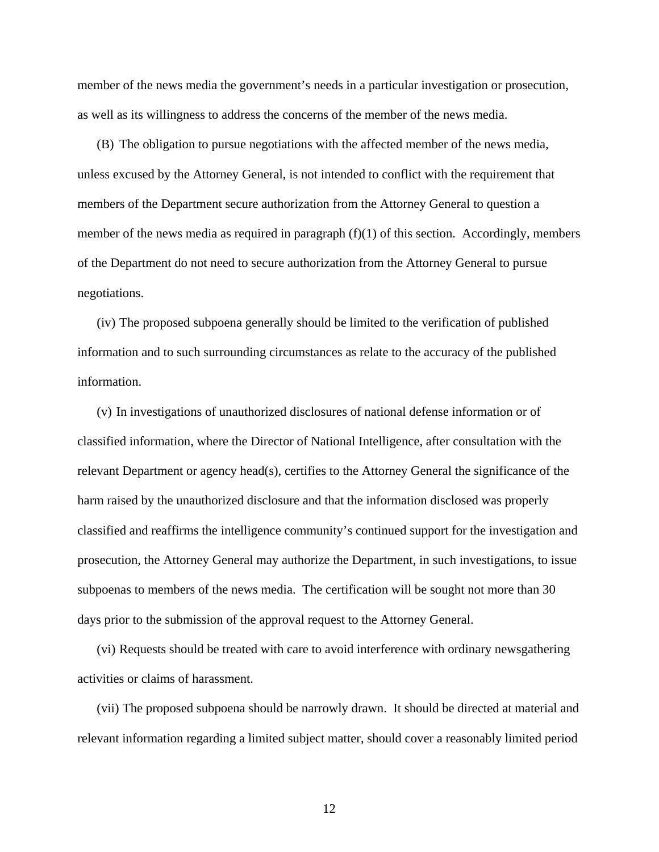member of the news media the government's needs in a particular investigation or prosecution, as well as its willingness to address the concerns of the member of the news media.

(B) The obligation to pursue negotiations with the affected member of the news media, unless excused by the Attorney General, is not intended to conflict with the requirement that members of the Department secure authorization from the Attorney General to question a member of the news media as required in paragraph (f)(1) of this section. Accordingly, members of the Department do not need to secure authorization from the Attorney General to pursue negotiations.

(iv) The proposed subpoena generally should be limited to the verification of published information and to such surrounding circumstances as relate to the accuracy of the published information.

(v) In investigations of unauthorized disclosures of national defense information or of classified information, where the Director of National Intelligence, after consultation with the relevant Department or agency head(s), certifies to the Attorney General the significance of the harm raised by the unauthorized disclosure and that the information disclosed was properly classified and reaffirms the intelligence community's continued support for the investigation and prosecution, the Attorney General may authorize the Department, in such investigations, to issue subpoenas to members of the news media. The certification will be sought not more than 30 days prior to the submission of the approval request to the Attorney General.

(vi) Requests should be treated with care to avoid interference with ordinary newsgathering activities or claims of harassment.

(vii) The proposed subpoena should be narrowly drawn. It should be directed at material and relevant information regarding a limited subject matter, should cover a reasonably limited period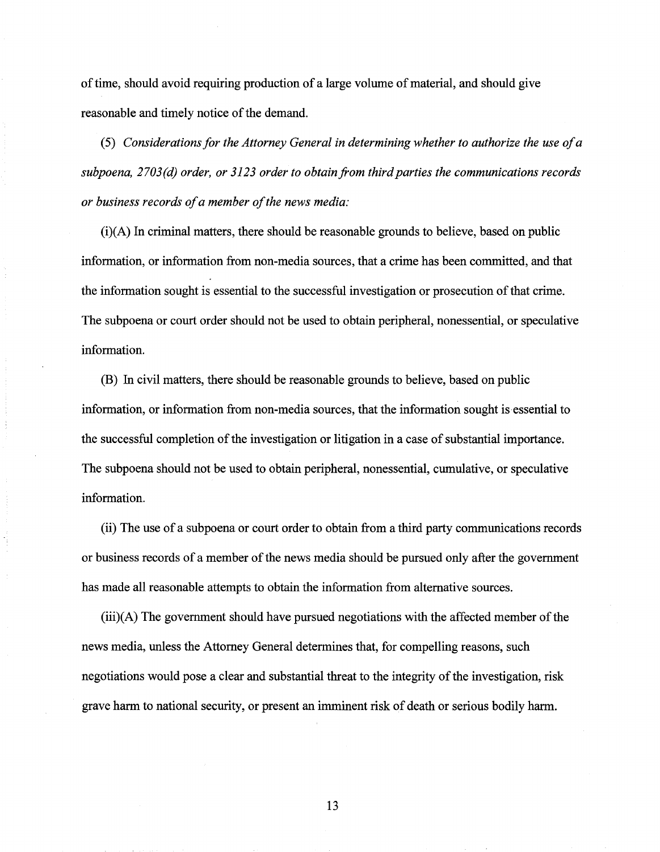of time, should avoid requiring production of a large volume of material, and should give reasonable and timely notice of the demand.

(5) *Considerations for the Attorney General in determining whether to authorize the use of a*  subpoena, 2703(d) order, or 3123 order to obtain from third parties the communications records *or business records of a member of the news media:* 

(i)(A) In criminal matters, there should be reasonable grounds to believe, based on public information, or information from non-media sources, that a crime has been committed, and that the information sought is essential to the successful investigation or prosecution of that crime. The subpoena or court order should not be used to obtain peripheral, nonessential, or speculative information.

(B) In civil matters, there should be reasonable grounds to believe, based on public information, or information from non-media sources, that the information sought is essential to the successful completion of the investigation or litigation in a case of substantial importance. The subpoena should not be used to obtain peripheral, nonessential, cumulative, or speculative information.

(ii) The use of a subpoena or court order to obtain from a third party communications records or business records of a member of the news media should be pursued only after the government has made all reasonable attempts to obtain the information from alternative sources.

(iii)(A) The government should have pursued negotiations with the affected member of the news media, unless the Attorney General determines that, for compelling reasons, such negotiations would pose a clear and substantial threat to the integrity of the investigation, risk grave harm to national security, or present an imminent risk of death or serious bodily harm.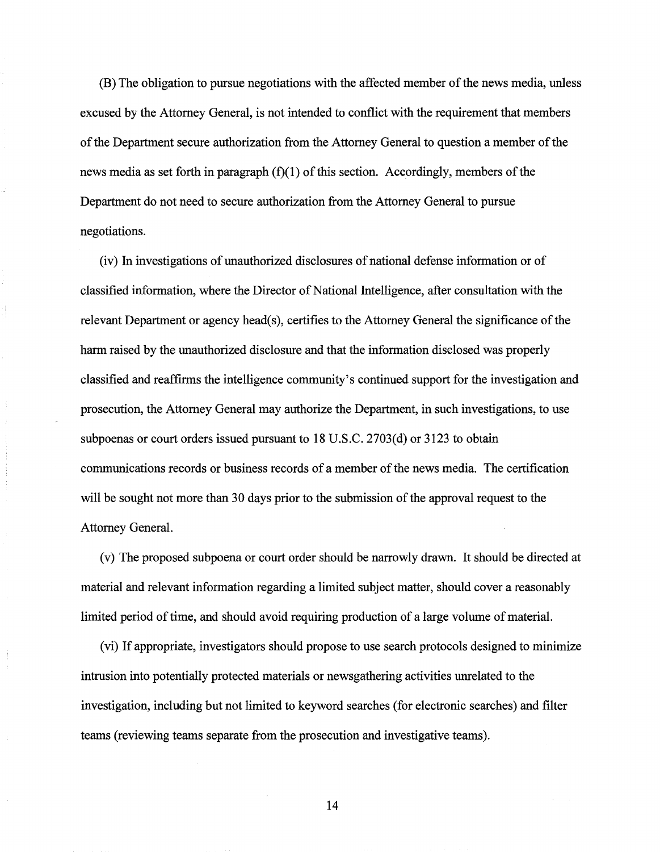(B) The obligation to pursue negotiations with the affected member of the news media, unless excused by the Attorney General, is not intended to conflict with the requirement that members of the Department secure authorization from the Attorney General to question a member of the news media as set forth in paragraph  $(f)(1)$  of this section. Accordingly, members of the Department do not need to secure authorization from the Attorney General to pursue negotiations.

(iv) In investigations of unauthorized disclosures of national defense information or of classified information, where the Director of National Intelligence, after consultation with the relevant Department or agency head(s), certifies to the Attorney General the significance of the harm raised by the unauthorized disclosure and that the information disclosed was properly classified and reaffirms the intelligence community's continued support for the investigation and prosecution, the Attorney General may authorize the Department, in such investigations, to use subpoenas or court orders issued pursuant to  $18$  U.S.C.  $2703$ (d) or  $3123$  to obtain communications records or business records of a member of the news media. The certification will be sought not more than 30 days prior to the submission of the approval request to the Attorney General.

(v) The proposed subpoena or court order should be narrowly drawn. It should be directed at material and relevant information regarding a limited subject matter, should cover a reasonably limited period of time, and should avoid requiring production of a large volume of material.

(vi) If appropriate, investigators should propose to use search protocols designed to minimize intrusion into potentially protected materials or newsgathering activities unrelated to the investigation, including but not limited to keyword searches (for electronic searches) and filter teams (reviewing teams separate from the prosecution and investigative teams).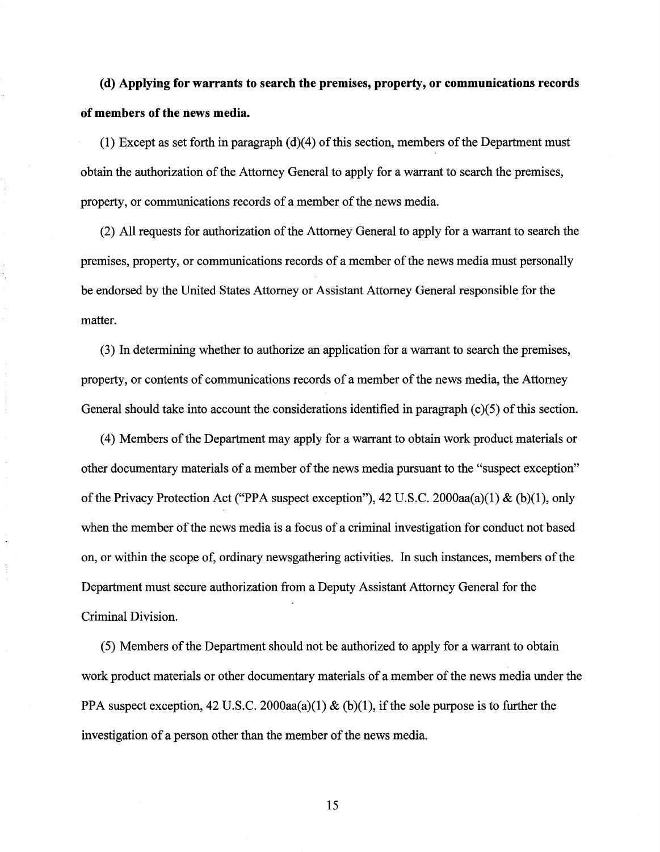**(d) Applying for warrants to search the premises, property, or communications records of members of the news media.** 

(1) Except as set forth in paragraph (d)(4) of this section, members of the Department must obtain the authorization of the Attorney General to apply for a warrant to search the premises, property, or communications records of a member of the news media.

(2) All requests for authorization of the Attorney General to apply for a warrant to search the premises, property, or communications records of a member of the news media must personally be endorsed by the United States Attorney or Assistant Attorney General responsible for the matter.

(3) In determining whether to authorize an application for a warrant to search the premises, property, or contents of communications records of a member of the news media, the Attorney General should take into account the considerations identified in paragraph  $(c)(5)$  of this section.

(4) Members of the Department may apply for a warrant to obtain work product materials or other documentary materials of a member of the news media pursuant to the "suspect exception" of the Privacy Protection Act ("PPA suspect exception"), 42 U.S.C. 2000aa(a)(1) & (b)(1), only when the member of the news media is a focus of a criminal investigation for conduct not based on, or within the scope of, ordinary newsgathering activities. In such instances, members of the Department must secure authorization from a Deputy Assistant Attorney General for the Criminal Division.

(5) Members of the Department should not be authorized to apply for a warrant to obtain work product materials or other documentary materials of a member of the news media under the PPA suspect exception, 42 U.S.C. 2000aa(a)(1) & (b)(1), if the sole purpose is to further the investigation of a person other than the member of the news media.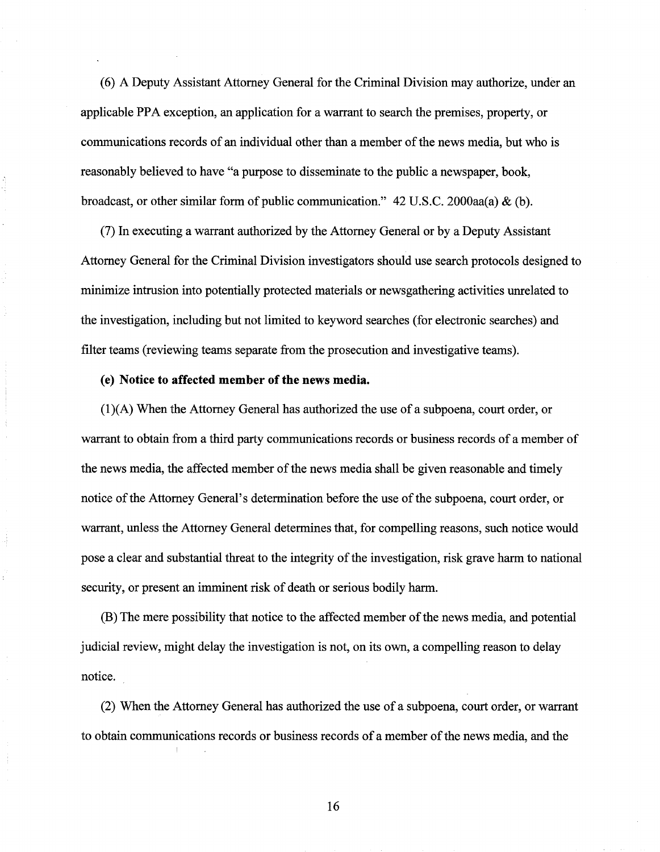( 6) A Deputy Assistant Attorney General for the Criminal Division may authorize, under an applicable PPA exception, an application for a warrant to search the premises, property, or communications records of an individual other than a member of the news media, but who is reasonably believed to have "a purpose to disseminate to the public a newspaper, book, broadcast, or other similar form of public communication." 42 U.S.C. 2000aa(a) & (b).

(7) In executing a warrant authorized by the Attorney General or by a Deputy Assistant Attorney General for the Criminal Division investigators should use search protocols designed to minimize intrusion into potentially protected materials or newsgathering activities unrelated to the investigation, including but not limited to keyword searches (for electronic searches) and filter teams (reviewing teams separate from the prosecution and investigative teams).

## (e) **Notice to affected member of the news media.**

 $(1)(A)$  When the Attorney General has authorized the use of a subpoena, court order, or warrant to obtain from a third party communications records or business records of a member of the news media, the affected member of the news media shall be given reasonable and timely notice of the Attorney General's determination before the use of the subpoena, court order, or warrant, unless the Attorney General determines that, for compelling reasons, such notice would pose a clear and substantial threat to the integrity of the investigation, risk grave harm to national security, or present an imminent risk of death or serious bodily harm.

(B) The mere possibility that notice to the affected member of the news media, and potential judicial review, might delay the investigation is not, on its own, a compelling reason to delay notice.

(2) When the Attorney General has authorized the use of a subpoena, court order, or warrant to obtain communications records or business records of a member of the news media, and the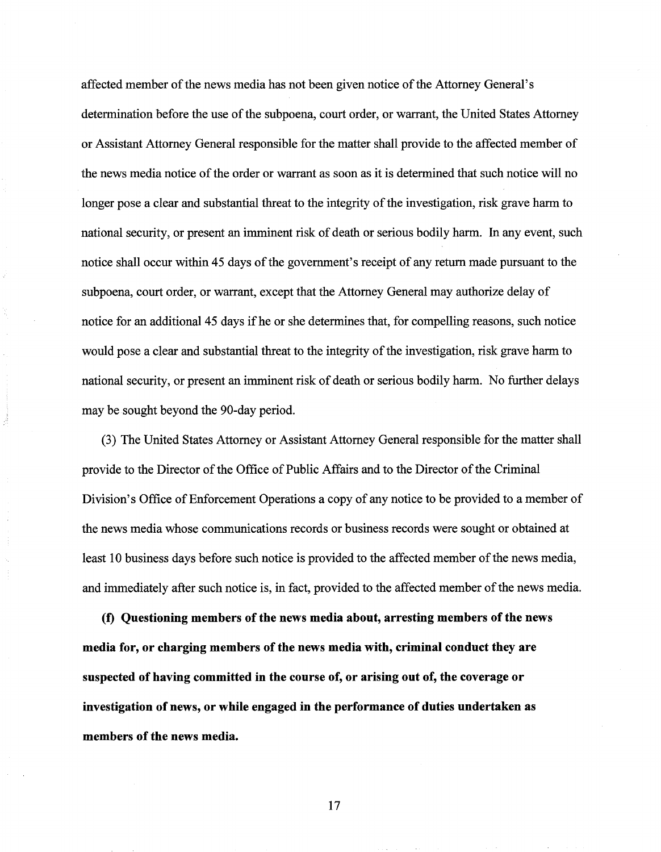affected member of the news media has not been given notice of the Attorney General's determination before the use of the subpoena, court order, or warrant, the United States Attorney or Assistant Attorney General responsible for the matter shall provide to the affected member of the news media notice of the order or warrant as soon as it is determined that such notice will no longer pose a clear and substantial threat to the integrity of the investigation, risk grave harm to national security, or present an imminent risk of death or serious bodily harm. In any event, such notice shall occur within 45 days of the government's receipt of any return made pursuant to the subpoena, court order, or warrant, except that the Attorney General may authorize delay of notice for an additional 45 days if he or she determines that, for compelling reasons, such notice would pose a clear and substantial threat to the integrity of the investigation, risk grave harm to national security, or present an imminent risk of death or serious bodily harm. No further delays may be sought beyond the 90-day period.

(3) The United States Attorney or Assistant Attorney General responsible for the matter shall provide to the Director of the Office of Public Affairs and to the Director of the Criminal Division's Office of Enforcement Operations a copy of any notice to be provided to a member of the news media whose communications records or business records were sought or obtained at least 10 business days before such notice is provided to the affected member of the news media, and immediately after such notice is, in fact, provided to the affected member of the news media.

**(f) Questioning members of the news media about, arresting members of the news media for, or charging members of the news media with, criminal conduct they are suspected of having committed in the course of, or arising out of, the coverage or investigation of news, or while engaged in the performance of duties undertaken as members of the news media.**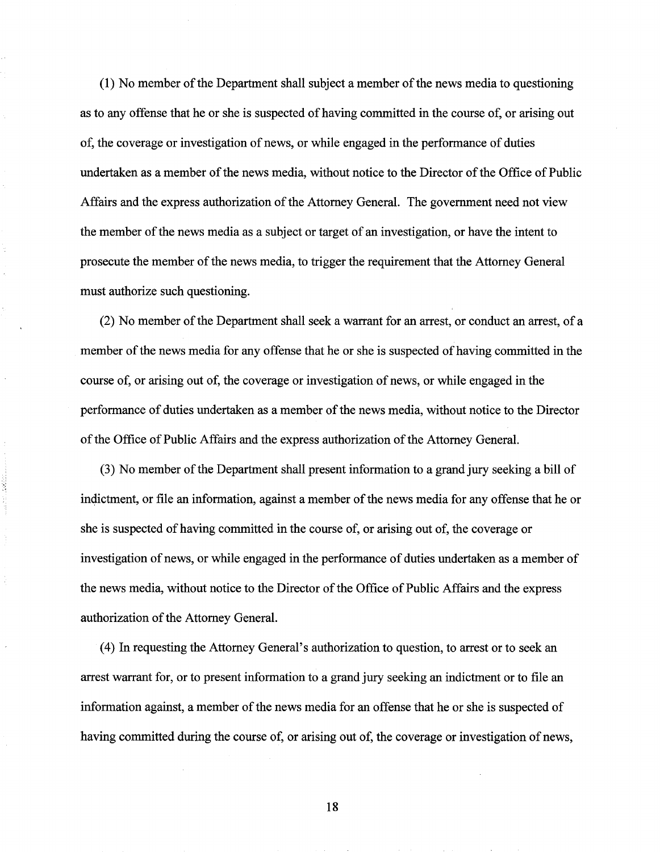(1) No member of the Department shall subject a member of the news media to questioning as to any offense that he or she is suspected of having committed in the course of, or arising out of, the coverage or investigation of news, or while engaged in the performance of duties undertaken as a member of the news media, without notice to the Director of the Office of Public Affairs and the express authorization of the Attorney General. The government need not view the member of the news media as a subject or target of an investigation, or have the intent to prosecute the member of the news media, to trigger the requirement that the Attorney General must authorize such questioning.

(2) No member of the Department shall seek a warrant for an arrest, or conduct an arrest, of a member of the news media for any offense that he or she is suspected of having committed in the course of, or arising out of, the coverage or investigation of news, or while engaged in the performance of duties undertaken as a member of the news media, without notice to the Director of the Office of Public Affairs and the express authorization of the Attorney General.

(3) No member of the Department shall present information to a grand jury seeking a bill of indictment, or file an information, against a member of the news media for any offense that he or she is suspected of having committed in the course of, or arising out of, the coverage or investigation of news, or while engaged in the performance of duties undertaken as a member of the news media, without notice to the Director of the Office of Public Affairs and the express authorization of the Attorney General.

( 4) In requesting the Attorney General's authorization to question, to arrest or to seek an arrest warrant for, or to present information to a grand jury seeking an indictment or to file an information against, a member of the news media for an offense that he or she is suspected of having committed during the course of, or arising out of, the coverage or investigation of news,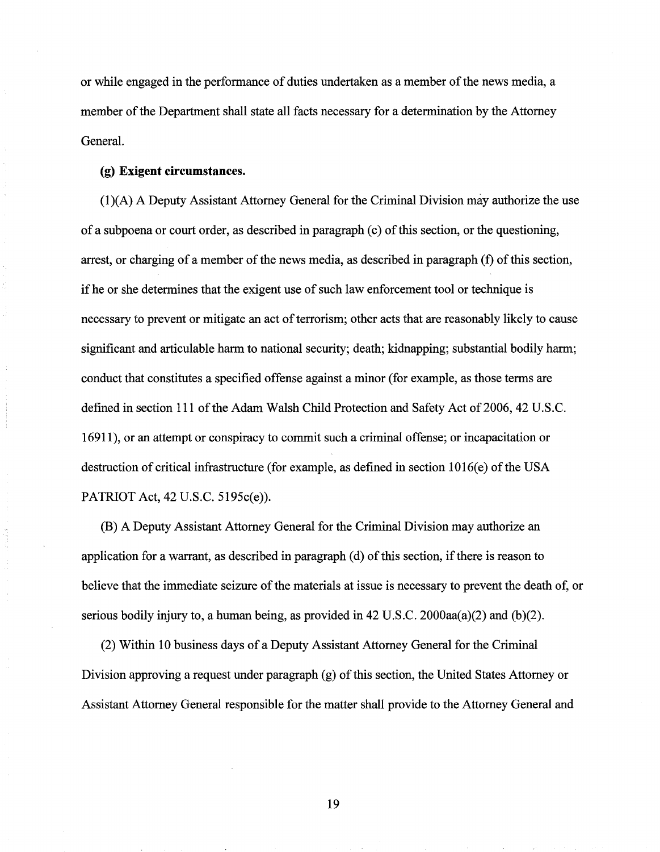or while engaged in the performance of duties undertaken as a member of the news media, a member of the Department shall state all facts necessary for a determination by the Attorney General.

## (g) **Exigent circumstances.**

(1 )(A) A Deputy Assistant Attorney General for the Criminal Division may authorize the use of a subpoena or court order, as described in paragraph (c) of this section, or the questioning, arrest, or charging of a member of the news media, as described in paragraph (f) of this section, if he or she determines that the exigent use of such law enforcement tool or technique is necessary to prevent or mitigate an act of terrorism; other acts that are reasonably likely to cause significant and articulable harm to national security; death; kidnapping; substantial bodily harm; conduct that constitutes a specified offense against a minor (for example, as those terms are defined in section 111 of the Adam Walsh Child Protection and Safety Act of 2006, 42 U.S.C. 16911), or an attempt or conspiracy to commit such a criminal offense; or incapacitation or destruction of critical infrastructure (for example, as defined in section  $1016(e)$  of the USA PATRIOT Act, 42 U.S.C. 5195c(e)).

(B) A Deputy Assistant Attorney General for the Criminal Division may authorize an application for a warrant, as described in paragraph (d) of this section, if there is reason to believe that the immediate seizure of the materials at issue is necessary to prevent the death of, or serious bodily injury to, a human being, as provided in 42 U.S.C. 2000aa(a)(2) and (b)(2).

(2) Within 10 business days of a Deputy Assistant Attorney General for the Criminal Division approving a request under paragraph (g) of this section, the United States Attorney or Assistant Attorney General responsible for the matter shall provide to the Attorney General and